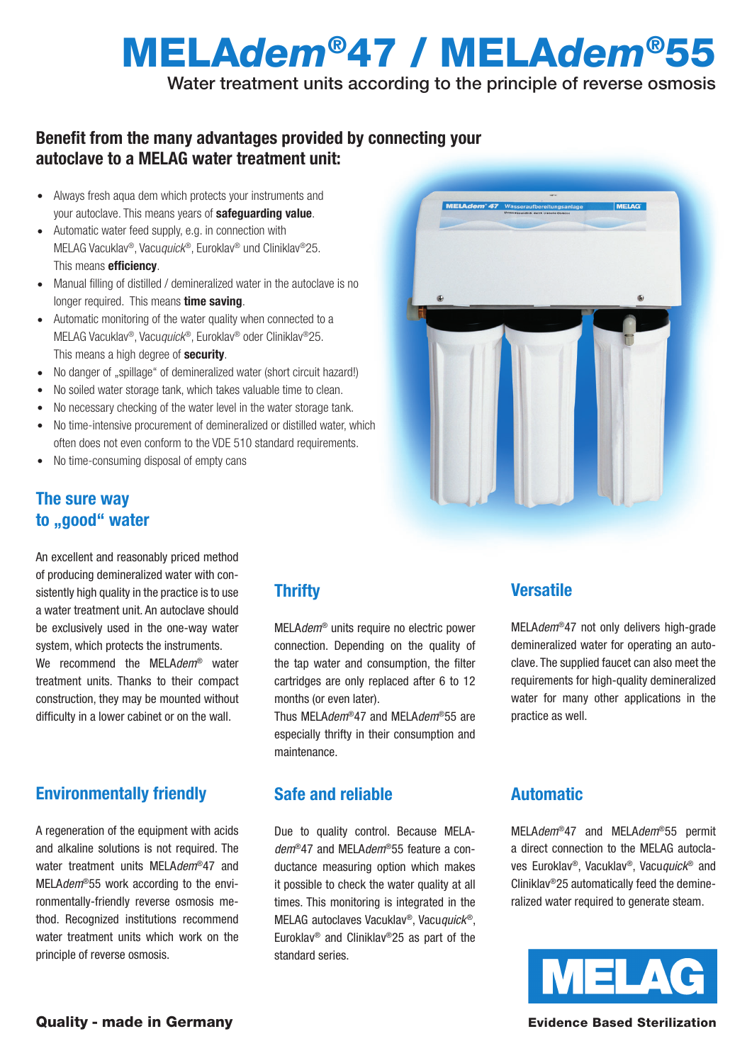## **MELA***dem***®47 / MELA***dem***®55**

**Water treatment units according to the principle of reverse osmosis**

### **Benefit from the many advantages provided by connecting your autoclave to a MELAG water treatment unit:**

- · Always fresh aqua dem which protects your instruments and your autoclave. This means years of **safeguarding value**.
- · Automatic water feed supply, e.g. in connection with MELAG Vacuklav®, Vacu*quick*®, Euroklav® und Cliniklav®25. This means **efficiency**.
- Manual filling of distilled / demineralized water in the autoclave is no longer required. This means **time saving**.
- · Automatic monitoring of the water quality when connected to a MELAG Vacuklav®, Vacu*quick*®, Euroklav® oder Cliniklav®25. This means a high degree of **security**.
- No danger of "spillage" of demineralized water (short circuit hazard!)<br>• No soiled water storage tank which takes valuable time to clean
- · No soiled water storage tank, which takes valuable time to clean.
- No necessary checking of the water level in the water storage tank.<br>• No time-intensive procurement of demineralized or distilled water w
- · No time-intensive procurement of demineralized or distilled water, which often does not even conform to the VDE 510 standard requirements.
- · No time-consuming disposal of empty cans

### **The sure way**  to "good" water

An excellent and reasonably priced method of producing demineralized water with consistently high quality in the practice is to use a water treatment unit. An autoclave should be exclusively used in the one-way water system, which protects the instruments. We recommend the MELA*dem*® water treatment units. Thanks to their compact construction, they may be mounted without difficulty in a lower cabinet or on the wall.

### **Environmentally friendly**

A regeneration of the equipment with acids and alkaline solutions is not required. The water treatment units MELA*dem*®47 and MELA*dem*®55 work according to the environmentally-friendly reverse osmosis method. Recognized institutions recommend water treatment units which work on the principle of reverse osmosis.

### **Thrifty**

 MELA*dem*® units require no electric power connection. Depending on the quality of the tap water and consumption, the filter cartridges are only replaced after 6 to 12 months (or even later).

Thus MELA*dem*®47 and MELA*dem*®55 are especially thrifty in their consumption and maintenance.

### **Safe and reliable**

 Due to quality control. Because MELA*dem*®47 and MELA*dem*®55 feature a conductance measuring option which makes it possible to check the water quality at all times. This monitoring is integrated in the MELAG autoclaves Vacuklav®, Vacu*quick*®, Euroklav® and Cliniklav®25 as part of the standard series.



### **Versatile**

MELA*dem*®47 not only delivers high-grade demineralized water for operating an autoclave. The supplied faucet can also meet the requirements for high-quality demineralized water for many other applications in the practice as well.

### **Automatic**

MELA*dem*®47 and MELA*dem*®55 permit a direct connection to the MELAG autoclaves Euroklav®, Vacuklav®, Vacu*quick*® and Cliniklav®25 automatically feed the demineralized water required to generate steam.